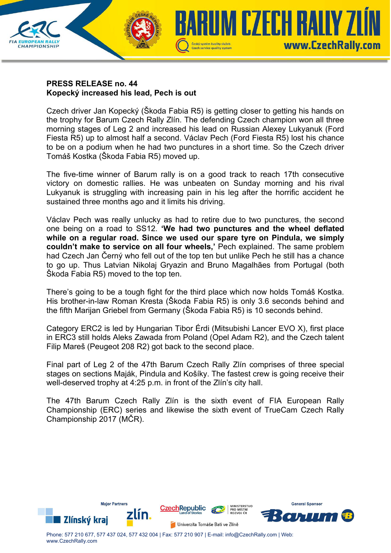

## **PRESS RELEASE no. 44 Kopecký increased his lead, Pech is out**

Czech driver Jan Kopecký (Škoda Fabia R5) is getting closer to getting his hands on the trophy for Barum Czech Rally Zlín. The defending Czech champion won all three morning stages of Leg 2 and increased his lead on Russian Alexey Lukyanuk (Ford Fiesta R5) up to almost half a second. Václav Pech (Ford Fiesta R5) lost his chance to be on a podium when he had two punctures in a short time. So the Czech driver Tomáš Kostka (Škoda Fabia R5) moved up.

The five-time winner of Barum rally is on a good track to reach 17th consecutive victory on domestic rallies. He was unbeaten on Sunday morning and his rival Lukyanuk is struggling with increasing pain in his leg after the horrific accident he sustained three months ago and it limits his driving.

Václav Pech was really unlucky as had to retire due to two punctures, the second one being on a road to SS12. **'We had two punctures and the wheel deflated while on a regular road. Since we used our spare tyre on Pindula, we simply couldn't make to service on all four wheels,'** Pech explained. The same problem had Czech Jan Černý who fell out of the top ten but unlike Pech he still has a chance to go up. Thus Latvian Nikolaj Gryazin and Bruno Magalhães from Portugal (both Škoda Fabia R5) moved to the top ten.

There's going to be a tough fight for the third place which now holds Tomáš Kostka. His brother-in-law Roman Kresta (Škoda Fabia R5) is only 3.6 seconds behind and the fifth Marijan Griebel from Germany (Škoda Fabia R5) is 10 seconds behind.

Category ERC2 is led by Hungarian Tibor Érdi (Mitsubishi Lancer EVO X), first place in ERC3 still holds Aleks Zawada from Poland (Opel Adam R2), and the Czech talent Filip Mareš (Peugeot 208 R2) got back to the second place.

Final part of Leg 2 of the 47th Barum Czech Rally Zlín comprises of three special stages on sections Maják, Pindula and Košíky. The fastest crew is going receive their well-deserved trophy at 4:25 p.m. in front of the Zlín's city hall.

The 47th Barum Czech Rally Zlín is the sixth event of FIA European Rally Championship (ERC) series and likewise the sixth event of TrueCam Czech Rally Championship 2017 (MČR).